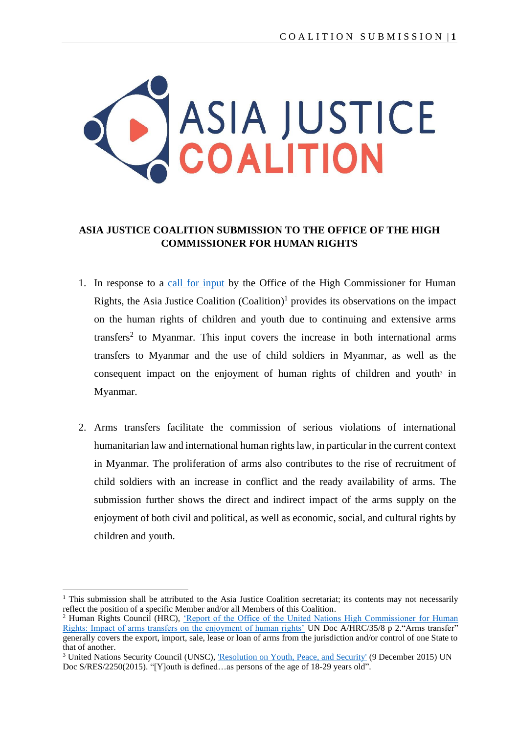

## **ASIA JUSTICE COALITION SUBMISSION TO THE OFFICE OF THE HIGH COMMISSIONER FOR HUMAN RIGHTS**

- 1. In response to a [call for input](https://www.ohchr.org/en/calls-for-input/calls-input/call-input-report-impact-arms-transfers-human-rights) by the Office of the High Commissioner for Human Rights, the Asia Justice Coalition  $(Coalition)$ <sup>1</sup> provides its observations on the impact on the human rights of children and youth due to continuing and extensive arms transfers 2 to Myanmar. This input covers the increase in both international arms transfers to Myanmar and the use of child soldiers in Myanmar, as well as the consequent impact on the enjoyment of human rights of children and youth $3$  in Myanmar.
- 2. Arms transfers facilitate the commission of serious violations of international humanitarian law and international human rights law, in particular in the current context in Myanmar. The proliferation of arms also contributes to the rise of recruitment of child soldiers with an increase in conflict and the ready availability of arms. The submission further shows the direct and indirect impact of the arms supply on the enjoyment of both civil and political, as well as economic, social, and cultural rights by children and youth.

 $1$ . This submission shall be attributed to the Asia Justice Coalition secretariat; its contents may not necessarily reflect the position of a specific Member and/or all Members of this Coalition.

Human Rights Council (HRC), ['Report of the Office of the United Nations High Commissioner](https://documents-dds-ny.un.org/doc/UNDOC/GEN/G17/109/83/PDF/G1710983.pdf?OpenElement) for Human [Rights: Impact of arms transfers on the enjoyment of human rights'](https://documents-dds-ny.un.org/doc/UNDOC/GEN/G17/109/83/PDF/G1710983.pdf?OpenElement) UN Doc A/HRC/35/8 p 2."Arms transfer" generally covers the export, import, sale, lease or loan of arms from the jurisdiction and/or control of one State to that of another.

<sup>&</sup>lt;sup>3</sup> United Nations Security Council (UNSC), <u>'Resolution on Youth, Peace</u>, and Security' (9 December 2015) UN Doc S/RES/2250(2015). "[Y]outh is defined…as persons of the age of 18-29 years old".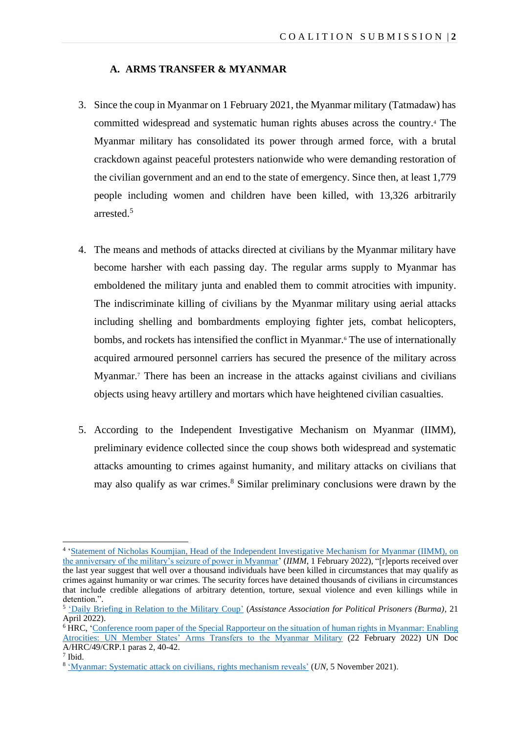#### **A. ARMS TRANSFER & MYANMAR**

- 3. Since the coup in Myanmar on 1 February 2021, the Myanmar military (Tatmadaw) has committed widespread and systematic human rights abuses across the country.<sup>4</sup> The Myanmar military has consolidated its power through armed force, with a brutal crackdown against peaceful protesters nationwide who were demanding restoration of the civilian government and an end to the state of emergency. Since then, at least 1,779 people including women and children have been killed, with 13,326 arbitrarily arrested. 5
- 4. The means and methods of attacks directed at civilians by the Myanmar military have become harsher with each passing day. The regular arms supply to Myanmar has emboldened the military junta and enabled them to commit atrocities with impunity. The indiscriminate killing of civilians by the Myanmar military using aerial attacks including shelling and bombardments employing fighter jets, combat helicopters, bombs, and rockets has intensified the conflict in Myanmar.<sup>6</sup> The use of internationally acquired armoured personnel carriers has secured the presence of the military across Myanmar. <sup>7</sup> There has been an increase in the attacks against civilians and civilians objects using heavy artillery and mortars which have heightened civilian casualties.
- 5. According to the Independent Investigative Mechanism on Myanmar (IIMM), preliminary evidence collected since the coup shows both widespread and systematic attacks amounting to crimes against humanity, and military attacks on civilians that may also qualify as war crimes. <sup>8</sup> Similar preliminary conclusions were drawn by the

<sup>&</sup>lt;sup>4</sup> ['Statement of Nicholas Koumjian, Head of the Independent Investigative Mechanism for Myanmar](https://iimm.un.org/statement-of-nicholas-koumjian-head-of-the-independent-investigative-mechanism-for-myanmar-on-the-anniversary-of-the-militarys-seizure-of-power-in-myanmar/) (IIMM), on [the anniversary of the military's seizure of power in Myanmar'](https://iimm.un.org/statement-of-nicholas-koumjian-head-of-the-independent-investigative-mechanism-for-myanmar-on-the-anniversary-of-the-militarys-seizure-of-power-in-myanmar/) (*IIMM*, 1 February 2022), "[r]eports received over the last year suggest that well over a thousand individuals have been killed in circumstances that may qualify as crimes against humanity or war crimes. The security forces have detained thousands of civilians in circumstances that include credible allegations of arbitrary detention, torture, sexual violence and even killings while in detention.".

<sup>5</sup> ['Daily Briefing in Relation to the Military Coup'](https://aappb.org/?p=21200) (*Assistance Association for Political Prisoners (Burma)*, 21 April 2022).

<sup>&</sup>lt;sup>6</sup> HRC, 'Conference room paper of the Special Rapporteur on the situation of human rights in Myanmar: Enabling [Atrocities: UN Member States' Arms Transfers to the Myanmar Military](https://www.ohchr.org/en/documents/thematic-reports/ahrc49crp1-conference-room-paper-special-rapporteur-enabling-atrocities) (22 February 2022) UN Doc A/HRC/49/CRP.1 paras 2, 40-42.

<sup>7</sup> Ibid.

<sup>8</sup> ['Myanmar: Systematic attack on civilians,](https://news.un.org/en/story/2021/11/1105082) rights mechanism reveals' (*UN*, 5 November 2021).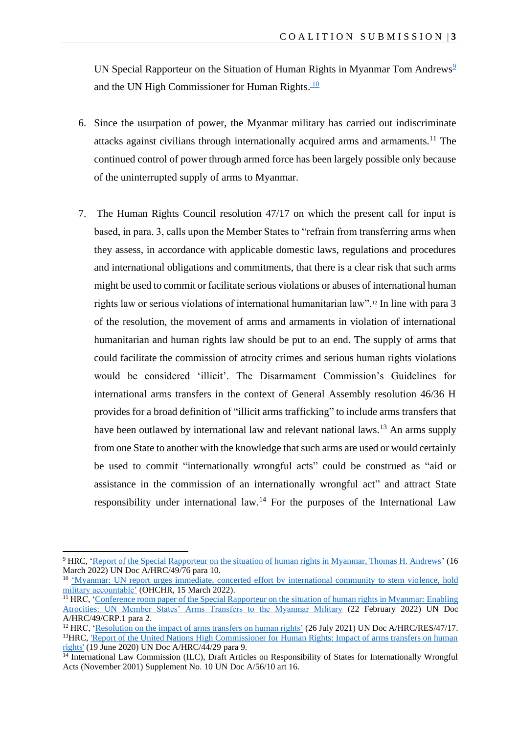UN Special Rapporteur on the Situation of Human Rights in Myanmar Tom Andrews<sup>9</sup> and the UN High Commissioner for Human Rights.<sup>10</sup>

- 6. Since the usurpation of power, the Myanmar military has carried out indiscriminate attacks against civilians through internationally acquired arms and armaments. <sup>11</sup> The continued control of power through armed force has been largely possible only because of the uninterrupted supply of arms to Myanmar.
- 7. The Human Rights Council resolution 47/17 on which the present call for input is based, in para. 3, calls upon the Member States to "refrain from transferring arms when they assess, in accordance with applicable domestic laws, regulations and procedures and international obligations and commitments, that there is a clear risk that such arms might be used to commit or facilitate serious violations or abuses of international human rights law or serious violations of international humanitarian law".<sup>12</sup> In line with para 3 of the resolution, the movement of arms and armaments in violation of international humanitarian and human rights law should be put to an end. The supply of arms that could facilitate the commission of atrocity crimes and serious human rights violations would be considered 'illicit'. The Disarmament Commission's Guidelines for international arms transfers in the context of General Assembly resolution 46/36 H provides for a broad definition of "illicit arms trafficking" to include arms transfers that have been outlawed by international law and relevant national laws.<sup>13</sup> An arms supply from one State to another with the knowledge that such arms are used or would certainly be used to commit "internationally wrongful acts" could be construed as "aid or assistance in the commission of an internationally wrongful act" and attract State responsibility under international law.<sup>14</sup> For the purposes of the International Law

<sup>9</sup> HRC, ['Report of the Special Rapporteur on the situation of human rights in Myanmar, Thomas H. Andrews'](https://www.ohchr.org/en/documents/country-reports/ahrc4976-report-special-rapporteur-situation-human-rights-myanmar-thomas) (16 March 2022) UN Doc A/HRC/49/76 para 10.

<sup>&</sup>lt;sup>10</sup> 'Myanmar: UN report urges immediate, concerted effort by international community to stem violence, hold [military accountable'](https://www.ohchr.org/en/press-releases/2022/03/myanmar-un-report-urges-immediate-concerted-effort-international-community) (OHCHR, 15 March 2022).

 $<sup>11</sup> HRC$ , 'Conference room paper of the Special Rapporteur on the situation of human rights in Myanmar: Enabling</sup> [Atrocities: UN Member States' Arms Transfers to the Myanmar Military](https://www.ohchr.org/en/documents/thematic-reports/ahrc49crp1-conference-room-paper-special-rapporteur-enabling-atrocities) (22 February 2022) UN Doc A/HRC/49/CRP.1 para 2.

<sup>&</sup>lt;sup>12</sup> HRC, ['Resolution on the impact of arms transfers on human rights'](https://documents-dds-ny.un.org/doc/UNDOC/GEN/G21/198/91/PDF/G2119891.pdf?OpenElement) (26 July 2021) UN Doc A/HRC/RES/47/17. <sup>13</sup>HRC, 'Report of the United Nations High Commissioner for Human Rights: Impact of arms transfers on human [rights'](https://documents-dds-ny.un.org/doc/UNDOC/GEN/G20/151/84/PDF/G2015184.pdf?OpenElement) (19 June 2020) UN Doc A/HRC/44/29 para 9.

<sup>&</sup>lt;sup>14</sup> International Law Commission (ILC), Draft Articles on Responsibility of States for Internationally Wrongful Acts (November 2001) Supplement No. 10 UN Doc A/56/10 art 16.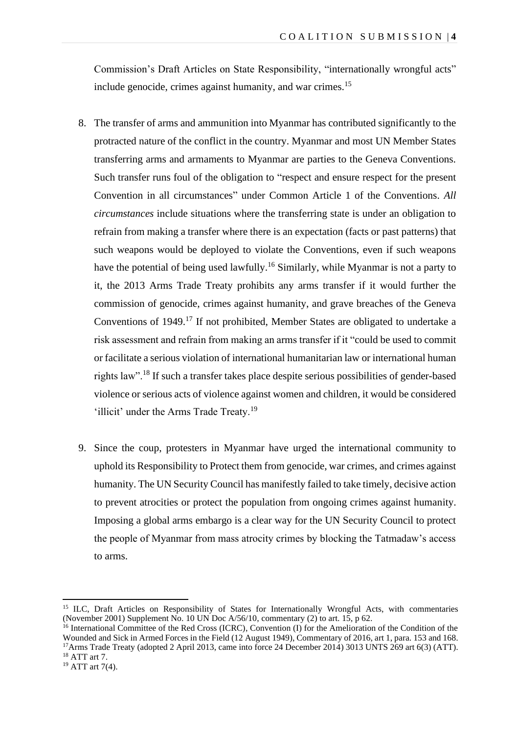Commission's Draft Articles on State Responsibility, "internationally wrongful acts" include genocide, crimes against humanity, and war crimes.<sup>15</sup>

- 8. The transfer of arms and ammunition into Myanmar has contributed significantly to the protracted nature of the conflict in the country. Myanmar and most UN Member States transferring arms and armaments to Myanmar are parties to the Geneva Conventions. Such transfer runs foul of the obligation to "respect and ensure respect for the present Convention in all circumstances" under Common Article 1 of the Conventions. *All circumstances* include situations where the transferring state is under an obligation to refrain from making a transfer where there is an expectation (facts or past patterns) that such weapons would be deployed to violate the Conventions, even if such weapons have the potential of being used lawfully.<sup>16</sup> Similarly, while Myanmar is not a party to it, the 2013 Arms Trade Treaty prohibits any arms transfer if it would further the commission of genocide, crimes against humanity, and grave breaches of the Geneva Conventions of 1949.<sup>17</sup> If not prohibited, Member States are obligated to undertake a risk assessment and refrain from making an arms transfer if it "could be used to commit or facilitate a serious violation of international humanitarian law or international human rights law".<sup>18</sup> If such a transfer takes place despite serious possibilities of gender-based violence or serious acts of violence against women and children, it would be considered 'illicit' under the Arms Trade Treaty.<sup>19</sup>
- 9. Since the coup, protesters in Myanmar have urged the international community to uphold its Responsibility to Protect them from genocide, war crimes, and crimes against humanity. The UN Security Council has manifestly failed to take timely, decisive action to prevent atrocities or protect the population from ongoing crimes against humanity. Imposing a global arms embargo is a clear way for the UN Security Council to protect the people of Myanmar from mass atrocity crimes by blocking the Tatmadaw's access to arms.

<sup>&</sup>lt;sup>15</sup> ILC, Draft Articles on Responsibility of States for Internationally Wrongful Acts, with commentaries (November 2001) Supplement No. 10 UN Doc  $A/56/10$ , commentary (2) to art. 15, p 62.

<sup>&</sup>lt;sup>16</sup> International Committee of the Red Cross (ICRC), Convention (I) for the Amelioration of the Condition of the Wounded and Sick in Armed Forces in the Field (12 August 1949), Commentary of 2016, art 1, para. 153 and 168. <sup>17</sup>Arms Trade Treaty (adopted 2 April 2013, came into force 24 December 2014) 3013 UNTS 269 art 6(3) (ATT). <sup>18</sup> ATT art 7.

 $19$  ATT art 7(4).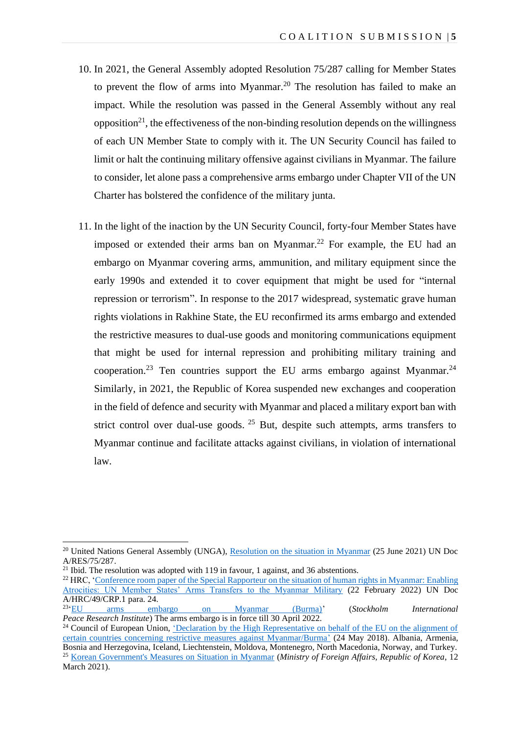- 10. In 2021, the General Assembly adopted Resolution 75/287 calling for Member States to prevent the flow of arms into Myanmar. <sup>20</sup> The resolution has failed to make an impact. While the resolution was passed in the General Assembly without any real opposition<sup>21</sup>, the effectiveness of the non-binding resolution depends on the willingness of each UN Member State to comply with it. The UN Security Council has failed to limit or halt the continuing military offensive against civilians in Myanmar. The failure to consider, let alone pass a comprehensive arms embargo under Chapter VII of the UN Charter has bolstered the confidence of the military junta.
- 11. In the light of the inaction by the UN Security Council, forty-four Member States have imposed or extended their arms ban on Myanmar.<sup>22</sup> For example, the EU had an embargo on Myanmar covering arms, ammunition, and military equipment since the early 1990s and extended it to cover equipment that might be used for "internal repression or terrorism". In response to the 2017 widespread, systematic grave human rights violations in Rakhine State, the EU reconfirmed its arms embargo and extended the restrictive measures to dual-use goods and monitoring communications equipment that might be used for internal repression and prohibiting military training and cooperation.<sup>23</sup> Ten countries support the EU arms embargo against Myanmar.<sup>24</sup> Similarly, in 2021, the Republic of Korea suspended new exchanges and cooperation in the field of defence and security with Myanmar and placed a military export ban with strict control over dual-use goods.  $25$  But, despite such attempts, arms transfers to Myanmar continue and facilitate attacks against civilians, in violation of international law.

<sup>&</sup>lt;sup>20</sup> United Nations General Assembly (UNGA), [Resolution on the situation in Myanmar](https://documents-dds-ny.un.org/doc/UNDOC/GEN/N21/164/66/PDF/N2116466.pdf?OpenElement) (25 June 2021) UN Doc A/RES/75/287.

<sup>&</sup>lt;sup>21</sup> Ibid. The resolution was adopted with 119 in favour, 1 against, and 36 abstentions.

<sup>&</sup>lt;sup>22</sup> HRC, 'Conference room paper of the Special Rapporteur on the situation of human rights in Myanmar: Enabling [Atrocities: UN Member States' Arms Transfers to the Myanmar Military](https://www.ohchr.org/en/documents/thematic-reports/ahrc49crp1-conference-room-paper-special-rapporteur-enabling-atrocities) (22 February 2022) UN Doc A/HRC/49/CRP.1 para. 24.

 $23 \cdot EU$ ['EU arms embargo on Myanmar \(Burma\)'](https://www.sipri.org/databases/embargoes/eu_arms_embargoes/myanmar) (*Stockholm International Peace Research Institute*) The arms embargo is in force till 30 April 2022.

<sup>&</sup>lt;sup>24</sup> Council of European Union, 'Declaration by the High Representative on behalf of the EU on the alignment of [certain countries concerning restrictive measures against Myanmar/Burma'](https://www.consilium.europa.eu/en/press/press-releases/2018/05/24/declaration-by-the-high-representative-on-behalf-of-the-eu-on-the-alignment-of-certain-countries-concerning-restrictive-measures-against-myanmar-burma/) (24 May 2018). Albania, Armenia, Bosnia and Herzegovina, Iceland, Liechtenstein, Moldova, Montenegro, North Macedonia, Norway, and Turkey. <sup>25</sup> [Korean Government's Measures on Situation in Myanmar](https://www.mofa.go.kr/eng/brd/m_5676/view.do?seq=321574&srchFr=&srchTo=&srchWord=&srchTp=&multi_itm_seq=0&itm_seq_1=0&itm_seq_2=0&company_cd=&company_nm=&page=1&titleNm) (*Ministry of Foreign Affairs, Republic of Korea*, 12 March 2021).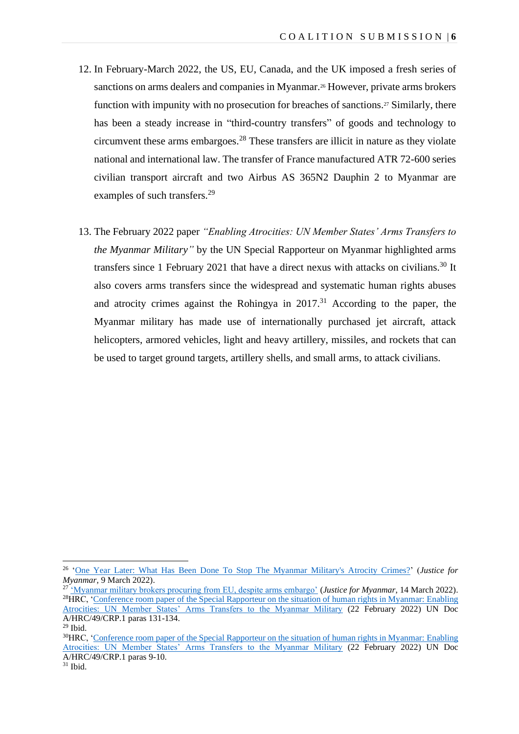- 12. In February-March 2022, the US, EU, Canada, and the UK imposed a fresh series of sanctions on arms dealers and companies in Myanmar.<sup>26</sup> However, private arms brokers function with impunity with no prosecution for breaches of sanctions.<sup>27</sup> Similarly, there has been a steady increase in "third-country transfers" of goods and technology to circumvent these arms embargoes.<sup>28</sup> These transfers are illicit in nature as they violate national and international law. The transfer of France manufactured ATR 72-600 series civilian transport aircraft and two Airbus AS 365N2 Dauphin 2 to Myanmar are examples of such transfers.<sup>29</sup>
- 13. The February 2022 paper *"Enabling Atrocities: UN Member States' Arms Transfers to the Myanmar Military"* by the UN Special Rapporteur on Myanmar highlighted arms transfers since 1 February 2021 that have a direct nexus with attacks on civilians.<sup>30</sup> It also covers arms transfers since the widespread and systematic human rights abuses and atrocity crimes against the Rohingya in 2017. <sup>31</sup> According to the paper, the Myanmar military has made use of internationally purchased jet aircraft, attack helicopters, armored vehicles, light and heavy artillery, missiles, and rockets that can be used to target ground targets, artillery shells, and small arms, to attack civilians.

<sup>26</sup> ['One Year Later: What Has Been Done To Stop The Myanmar Military's Atrocity Crimes?'](https://www.justiceformyanmar.org/stories/what-has-been-done-to-stop-the-myanmar-militarys-atrocity-crimes) (*Justice for Myanmar*, 9 March 2022).

<sup>27</sup> ['Myanmar military brokers procuring from EU, despite arms embargo'](https://www.justiceformyanmar.org/press-releases/myanmar-military-brokers-procuring-from-eu-despite-arms-embargo) (*Justice for Myanmar*, 14 March 2022). <sup>28</sup>HRC, ['Conference room paper of the Special Rapporteur on the situation of human rights in Myanmar: Enabling](https://www.ohchr.org/en/documents/thematic-reports/ahrc49crp1-conference-room-paper-special-rapporteur-enabling-atrocities)  [Atrocities: UN Member States' Arms Transfers to the Myanmar Military](https://www.ohchr.org/en/documents/thematic-reports/ahrc49crp1-conference-room-paper-special-rapporteur-enabling-atrocities) (22 February 2022) UN Doc A/HRC/49/CRP.1 paras 131-134.

<sup>29</sup> Ibid.

<sup>&</sup>lt;sup>30</sup>HRC, 'Conference room paper of the Special Rapporteur on the situation of human rights in Myanmar: Enabling [Atrocities: UN Member States' Arms Transfers to the Myanmar Military](https://www.ohchr.org/en/documents/thematic-reports/ahrc49crp1-conference-room-paper-special-rapporteur-enabling-atrocities) (22 February 2022) UN Doc A/HRC/49/CRP.1 paras 9-10.

 $31$  Ibid.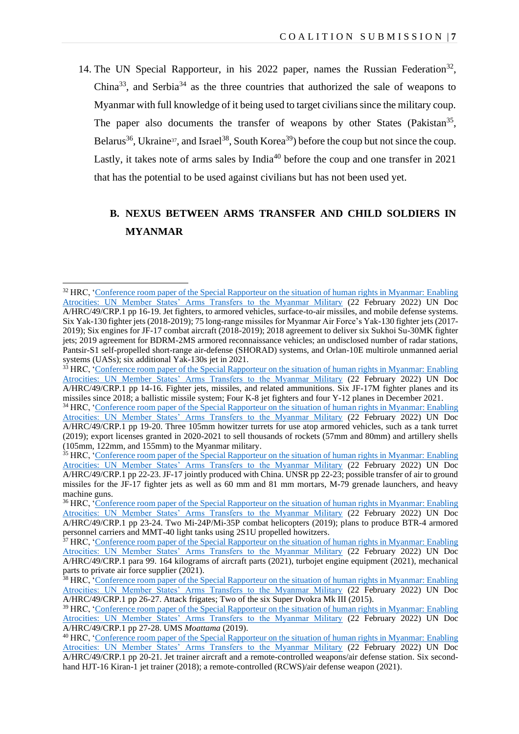14. The UN Special Rapporteur, in his 2022 paper, names the Russian Federation<sup>32</sup>, China<sup>33</sup>, and Serbia<sup>34</sup> as the three countries that authorized the sale of weapons to Myanmar with full knowledge of it being used to target civilians since the military coup. The paper also documents the transfer of weapons by other States (Pakistan<sup>35</sup>, Belarus<sup>36</sup>, Ukraine<sup>37</sup>, and Israel<sup>38</sup>, South Korea<sup>39</sup>) before the coup but not since the coup. Lastly, it takes note of arms sales by  $India^{40}$  before the coup and one transfer in 2021 that has the potential to be used against civilians but has not been used yet.

# **B. NEXUS BETWEEN ARMS TRANSFER AND CHILD SOLDIERS IN MYANMAR**

<sup>&</sup>lt;sup>32</sup> HRC, 'Conference room paper of the Special Rapporteur on the situation of human rights in Myanmar: Enabling [Atrocities: UN Member States' Arms Transfers to the Myanmar Military](https://www.ohchr.org/en/documents/thematic-reports/ahrc49crp1-conference-room-paper-special-rapporteur-enabling-atrocities) (22 February 2022) UN Doc A/HRC/49/CRP.1 pp 16-19. Jet fighters, to armored vehicles, surface-to-air missiles, and mobile defense systems. Six Yak-130 fighter jets (2018-2019); 75 long-range missiles for Myanmar Air Force's Yak-130 fighter jets (2017- 2019); Six engines for JF-17 combat aircraft (2018-2019); 2018 agreement to deliver six Sukhoi Su-30MK fighter jets; 2019 agreement for BDRM-2MS armored reconnaissance vehicles; an undisclosed number of radar stations, Pantsir-S1 self-propelled short-range air-defense (SHORAD) systems, and Orlan-10E multirole unmanned aerial systems (UASs); six additional Yak-130s jet in 2021.

<sup>&</sup>lt;sup>33</sup> HRC, 'Conference room paper of the Special Rapporteur on the situation of human rights in Myanmar: Enabling [Atrocities: UN Member States' Arms Transfers to the Myanmar Military](https://www.ohchr.org/en/documents/thematic-reports/ahrc49crp1-conference-room-paper-special-rapporteur-enabling-atrocities) (22 February 2022) UN Doc A/HRC/49/CRP.1 pp 14-16. Fighter jets, missiles, and related ammunitions. Six JF-17M fighter planes and its missiles since 2018; a ballistic missile system; Four K-8 jet fighters and four Y-12 planes in December 2021.

<sup>&</sup>lt;sup>34</sup> HRC, 'Conference room paper of the Special Rapporteur on the situation of human rights in Myanmar: Enabling [Atrocities: UN Member States' Arms Transfers to the Myanmar Military](https://www.ohchr.org/en/documents/thematic-reports/ahrc49crp1-conference-room-paper-special-rapporteur-enabling-atrocities) (22 February 2022) UN Doc A/HRC/49/CRP.1 pp 19-20. Three 105mm howitzer turrets for use atop armored vehicles, such as a tank turret (2019); export licenses granted in 2020-2021 to sell thousands of rockets (57mm and 80mm) and artillery shells (105mm, 122mm, and 155mm) to the Myanmar military.

<sup>&</sup>lt;sup>35</sup> HRC, 'Conference room paper of the Special Rapporteur on the situation of human rights in Myanmar: Enabling [Atrocities: UN Member States' Arms Transfers to the Myanmar Military](https://www.ohchr.org/en/documents/thematic-reports/ahrc49crp1-conference-room-paper-special-rapporteur-enabling-atrocities) (22 February 2022) UN Doc A/HRC/49/CRP.1 pp 22-23. JF-17 jointly produced with China. UNSR pp 22-23; possible transfer of air to ground missiles for the JF-17 fighter jets as well as 60 mm and 81 mm mortars, M-79 grenade launchers, and heavy machine guns.

<sup>&</sup>lt;sup>36</sup> HRC, 'Conference room paper of the Special Rapporteur on the situation of human rights in Myanmar: Enabling [Atrocities: UN Member States' Arms Transfers to the Myanmar Military](https://www.ohchr.org/en/documents/thematic-reports/ahrc49crp1-conference-room-paper-special-rapporteur-enabling-atrocities) (22 February 2022) UN Doc A/HRC/49/CRP.1 pp 23-24. Two Mi-24P/Mi-35P combat helicopters (2019); plans to produce BTR-4 armored personnel carriers and MMT-40 light tanks using 2S1U propelled howitzers.

<sup>&</sup>lt;sup>37</sup> HRC, 'Conference room paper of the Special Rapporteur on the situation of human rights in Myanmar: Enabling [Atrocities: UN Member States' Arms Transfers to the Myanmar Military](https://www.ohchr.org/en/documents/thematic-reports/ahrc49crp1-conference-room-paper-special-rapporteur-enabling-atrocities) (22 February 2022) UN Doc A/HRC/49/CRP.1 para 99. 164 kilograms of aircraft parts (2021), turbojet engine equipment (2021), mechanical parts to private air force supplier (2021).

<sup>&</sup>lt;sup>38</sup> HRC, <sup>\*</sup>Conference room paper of the Special Rapporteur on the situation of human rights in Myanmar: Enabling [Atrocities: UN Member States' Arms Transfers to the Myanmar Military](https://www.ohchr.org/en/documents/thematic-reports/ahrc49crp1-conference-room-paper-special-rapporteur-enabling-atrocities) (22 February 2022) UN Doc A/HRC/49/CRP.1 pp 26-27. Attack frigates; Two of the six Super Dvokra Mk III (2015).

<sup>39</sup> HRC, ['Conference room paper of the Special Rapporteur on the situation of human rights in Myanmar: Enabling](https://www.ohchr.org/en/documents/thematic-reports/ahrc49crp1-conference-room-paper-special-rapporteur-enabling-atrocities)  [Atrocities: UN Member States' Arms Transfers to the Myanmar Military](https://www.ohchr.org/en/documents/thematic-reports/ahrc49crp1-conference-room-paper-special-rapporteur-enabling-atrocities) (22 February 2022) UN Doc A/HRC/49/CRP.1 pp 27-28. UMS *Moattama* (2019).

<sup>&</sup>lt;sup>40</sup> HRC, 'Conference room paper of the Special Rapporteur on the situation of human rights in Myanmar: Enabling [Atrocities: UN Member States' Arms Transfers to the Myanmar Military](https://www.ohchr.org/en/documents/thematic-reports/ahrc49crp1-conference-room-paper-special-rapporteur-enabling-atrocities) (22 February 2022) UN Doc A/HRC/49/CRP.1 pp 20-21. Jet trainer aircraft and a remote-controlled weapons/air defense station. Six secondhand HJT-16 Kiran-1 jet trainer (2018); a remote-controlled (RCWS)/air defense weapon (2021).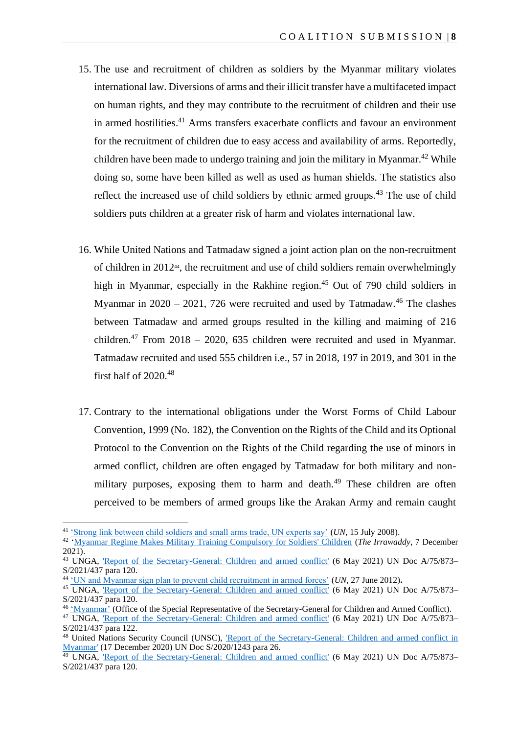- 15. The use and recruitment of children as soldiers by the Myanmar military violates international law. Diversions of arms and their illicit transfer have a multifaceted impact on human rights, and they may contribute to the recruitment of children and their use in armed hostilities. <sup>41</sup> Arms transfers exacerbate conflicts and favour an environment for the recruitment of children due to easy access and availability of arms. Reportedly, children have been made to undergo training and join the military in Myanmar.<sup>42</sup> While doing so, some have been killed as well as used as human shields. The statistics also reflect the increased use of child soldiers by ethnic armed groups.<sup>43</sup> The use of child soldiers puts children at a greater risk of harm and violates international law.
- 16. While United Nations and Tatmadaw signed a joint action plan on the non-recruitment of children in 201244, the recruitment and use of child soldiers remain overwhelmingly high in Myanmar, especially in the Rakhine region.<sup>45</sup> Out of 790 child soldiers in Myanmar in  $2020 - 2021$ , 726 were recruited and used by Tatmadaw.<sup>46</sup> The clashes between Tatmadaw and armed groups resulted in the killing and maiming of 216 children.<sup>47</sup> From 2018 – 2020, 635 children were recruited and used in Myanmar. Tatmadaw recruited and used 555 children i.e., 57 in 2018, 197 in 2019, and 301 in the first half of  $2020^{48}$
- 17. Contrary to the international obligations under the Worst Forms of Child Labour Convention, 1999 (No. 182), the Convention on the Rights of the Child and its Optional Protocol to the Convention on the Rights of the Child regarding the use of minors in armed conflict, children are often engaged by Tatmadaw for both military and nonmilitary purposes, exposing them to harm and death.<sup>49</sup> These children are often perceived to be members of armed groups like the Arakan Army and remain caught

<sup>46</sup> ['Myanmar'](https://childrenandarmedconflict.un.org/where-we-work/myanmar/) (Office of the Special Representative of the Secretary-General for Children and Armed Conflict).

<sup>41</sup> ['Strong link between child soldiers and small arms trade, UN experts say'](https://news.un.org/en/story/2008/07/266342-strong-link-between-child-soldiers-and-small-arms-trade-un-experts-say#.WJRXs7GZN0s) (*UN*, 15 July 2008).

<sup>42</sup> ['Myanmar Regime Makes Military Training Compulsory for Soldiers' Children](https://www.irrawaddy.com/news/burma/myanmar-regime-makes-military-training-compulsory-for-soldiers-children.html) (*The Irrawaddy*, 7 December 2021).

<sup>&</sup>lt;sup>43</sup> UNGA, ['Report of the Secretary-General: Children and armed conflict'](https://www.un.org/ga/search/view_doc.asp?symbol=S/2021/437&Lang=E&Area=UNDOChttps://news.un.org/en/story/2012/06/414192) (6 May 2021) UN Doc A/75/873– S/2021/437 para 120.

<sup>44</sup> ['UN and Myanmar sign plan to prevent child recruitment in armed forces'](https://news.un.org/en/story/2012/06/414192) (*UN*, 27 June 2012)**.**

<sup>&</sup>lt;sup>45</sup> UNGA, ['Report of the Secretary-General: Children and armed conflict'](https://www.un.org/ga/search/view_doc.asp?symbol=S/2021/437&Lang=E&Area=UNDOChttps://news.un.org/en/story/2012/06/414192) (6 May 2021) UN Doc A/75/873– S/2021/437 para 120.

<sup>&</sup>lt;sup>47</sup> UNGA, ['Report of the Secretary-General: Children and armed conflict'](https://www.un.org/ga/search/view_doc.asp?symbol=S/2021/437&Lang=E&Area=UNDOChttps://news.un.org/en/story/2012/06/414192) (6 May 2021) UN Doc A/75/873– S/2021/437 para 122.

<sup>&</sup>lt;sup>48</sup> United Nations Security Council (UNSC), 'Report of the Secretary-General: Children and armed conflict in [Myanmar'](https://documents-dds-ny.un.org/doc/UNDOC/GEN/N20/373/81/PDF/N2037381.pdf?OpenElement) (17 December 2020) UN Doc S/2020/1243 para 26.

 $49$  UNGA, Report of the Secretary-General: Children and armed conflict' (6 May 2021) UN Doc A/75/873– S/2021/437 para 120.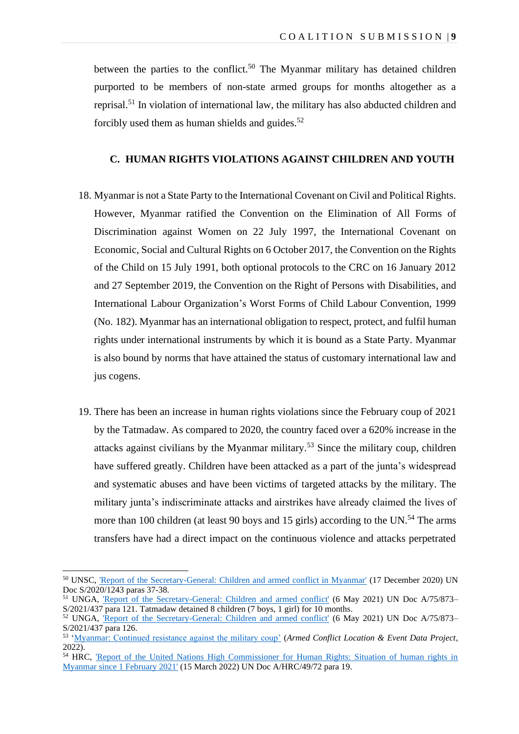between the parties to the conflict.<sup>50</sup> The Myanmar military has detained children purported to be members of non-state armed groups for months altogether as a reprisal.<sup>51</sup> In violation of international law, the military has also abducted children and forcibly used them as human shields and guides. $52$ 

#### **C. HUMAN RIGHTS VIOLATIONS AGAINST CHILDREN AND YOUTH**

- 18. Myanmar is not a State Party to the International Covenant on Civil and Political Rights. However, Myanmar ratified the Convention on the Elimination of All Forms of Discrimination against Women on 22 July 1997, the International Covenant on Economic, Social and Cultural Rights on 6 October 2017, the Convention on the Rights of the Child on 15 July 1991, both optional protocols to the CRC on 16 January 2012 and 27 September 2019, the Convention on the Right of Persons with Disabilities, and International Labour Organization's Worst Forms of Child Labour Convention, 1999 (No. 182). Myanmar has an international obligation to respect, protect, and fulfil human rights under international instruments by which it is bound as a State Party. Myanmar is also bound by norms that have attained the status of customary international law and jus cogens.
- 19. There has been an increase in human rights violations since the February coup of 2021 by the Tatmadaw. As compared to 2020, the country faced over a 620% increase in the attacks against civilians by the Myanmar military.<sup>53</sup> Since the military coup, children have suffered greatly. Children have been attacked as a part of the junta's widespread and systematic abuses and have been victims of targeted attacks by the military. The military junta's indiscriminate attacks and airstrikes have already claimed the lives of more than 100 children (at least 90 boys and 15 girls) according to the UN.<sup>54</sup> The arms transfers have had a direct impact on the continuous violence and attacks perpetrated

<sup>50</sup> UNSC, ['Report of the Secretary-General: Children and armed conflict in Myanmar'](https://documents-dds-ny.un.org/doc/UNDOC/GEN/N20/373/81/PDF/N2037381.pdf?OpenElement) (17 December 2020) UN Doc S/2020/1243 paras 37-38.

<sup>&</sup>lt;sup>51</sup> UNGA, ['Report of the Secretary-General: Children and armed conflict'](https://www.un.org/ga/search/view_doc.asp?symbol=S/2021/437&Lang=E&Area=UNDOChttps://news.un.org/en/story/2012/06/414192) (6 May 2021) UN Doc A/75/873– S/2021/437 para 121. Tatmadaw detained 8 children (7 boys, 1 girl) for 10 months.

<sup>&</sup>lt;sup>52</sup> UNGA, Report of the Secretary-General: Children and armed conflict' (6 May 2021) UN Doc A/75/873– S/2021/437 para 126.

<sup>53</sup> ['Myanmar: Continued resistance against the military coup'](https://acleddata.com/10-conflicts-to-worry-about-in-2022/myanmar/#1644921169748-ca58a54a-3d268979-7ffe) (*Armed Conflict Location & Event Data Project*, 2022).

<sup>&</sup>lt;sup>54</sup> HRC, Report of the United Nations High Commissioner for Human Rights: Situation of human rights in [Myanmar since 1 February 2021'](https://www.ohchr.org/sites/default/files/2022-03/A_HRC_49_72_AdvanceEditedVersion.docx) (15 March 2022) UN Doc A/HRC/49/72 para 19.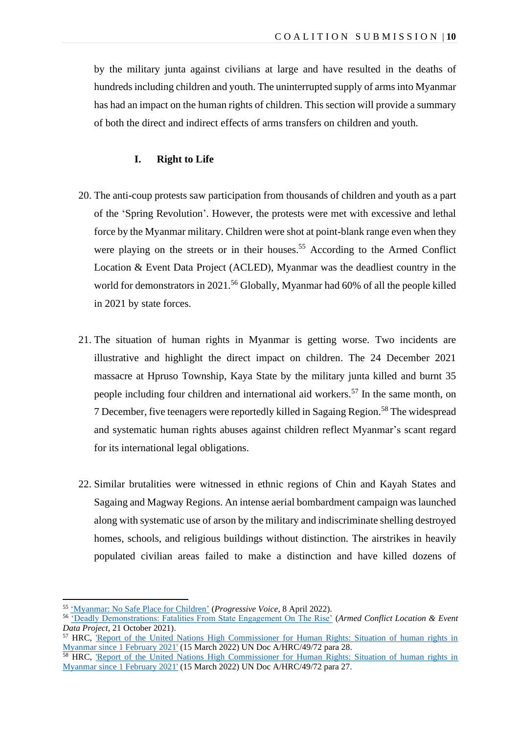by the military junta against civilians at large and have resulted in the deaths of hundreds including children and youth. The uninterrupted supply of arms into Myanmar has had an impact on the human rights of children. This section will provide a summary of both the direct and indirect effects of arms transfers on children and youth.

#### **I. Right to Life**

- 20. The anti-coup protests saw participation from thousands of children and youth as a part of the 'Spring Revolution'. However, the protests were met with excessive and lethal force by the Myanmar military. Children were shot at point-blank range even when they were playing on the streets or in their houses.<sup>55</sup> According to the Armed Conflict Location & Event Data Project (ACLED), Myanmar was the deadliest country in the world for demonstrators in 2021.<sup>56</sup> Globally, Myanmar had 60% of all the people killed in 2021 by state forces.
- 21. The situation of human rights in Myanmar is getting worse. Two incidents are illustrative and highlight the direct impact on children. The 24 December 2021 massacre at Hpruso Township, Kaya State by the military junta killed and burnt 35 people including four children and international aid workers.<sup>57</sup> In the same month, on 7 December, five teenagers were reportedly killed in Sagaing Region.<sup>58</sup> The widespread and systematic human rights abuses against children reflect Myanmar's scant regard for its international legal obligations.
- 22. Similar brutalities were witnessed in ethnic regions of Chin and Kayah States and Sagaing and Magway Regions. An intense aerial bombardment campaign was launched along with systematic use of arson by the military and indiscriminate shelling destroyed homes, schools, and religious buildings without distinction. The airstrikes in heavily populated civilian areas failed to make a distinction and have killed dozens of

<sup>55</sup> ['Myanmar: No Safe Place for Children'](https://progressivevoicemyanmar.org/2022/04/08/myanmar-no-safe-place-for-children/) (*Progressive Voice*, 8 April 2022).

<sup>56</sup> ['Deadly Demonstrations: Fatalities From State Engagement On The Rise'](https://acleddata.com/2021/10/21/deadly-demonstrations/) (*Armed Conflict Location & Event Data Project*, 21 October 2021).

<sup>57</sup> HRC, ['Report of the United Nations High Commissioner for Human Rights: Situation of human rights in](https://www.ohchr.org/sites/default/files/2022-03/A_HRC_49_72_AdvanceEditedVersion.docx)  [Myanmar since 1 February 2021'](https://www.ohchr.org/sites/default/files/2022-03/A_HRC_49_72_AdvanceEditedVersion.docx) (15 March 2022) UN Doc A/HRC/49/72 para 28.

<sup>&</sup>lt;sup>58</sup> HRC, Report of the United Nations High Commissioner for Human Rights: Situation of human rights in [Myanmar since 1 February 2021'](https://www.ohchr.org/sites/default/files/2022-03/A_HRC_49_72_AdvanceEditedVersion.docx) (15 March 2022) UN Doc A/HRC/49/72 para 27.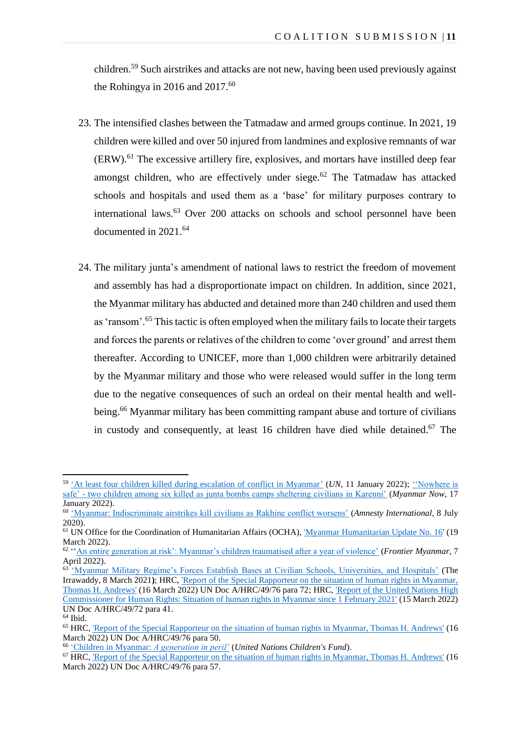children.<sup>59</sup> Such airstrikes and attacks are not new, having been used previously against the Rohingya in 2016 and  $2017^{60}$ 

- 23. The intensified clashes between the Tatmadaw and armed groups continue. In 2021, 19 children were killed and over 50 injured from landmines and explosive remnants of war (ERW).<sup>61</sup> The excessive artillery fire, explosives, and mortars have instilled deep fear amongst children, who are effectively under siege. $62$  The Tatmadaw has attacked schools and hospitals and used them as a 'base' for military purposes contrary to international laws.<sup>63</sup> Over 200 attacks on schools and school personnel have been documented in 2021.<sup>64</sup>
- 24. The military junta's amendment of national laws to restrict the freedom of movement and assembly has had a disproportionate impact on children. In addition, since 2021, the Myanmar military has abducted and detained more than 240 children and used them as 'ransom'.<sup>65</sup> This tactic is often employed when the military fails to locate their targets and forces the parents or relatives of the children to come 'over ground' and arrest them thereafter. According to UNICEF, more than 1,000 children were arbitrarily detained by the Myanmar military and those who were released would suffer in the long term due to the negative consequences of such an ordeal on their mental health and wellbeing.<sup>66</sup> Myanmar military has been committing rampant abuse and torture of civilians in custody and consequently, at least 16 children have died while detained. <sup>67</sup> The

<sup>59</sup> ['At least four children killed during escalation of conflict in Myanmar'](https://news.un.org/en/story/2022/01/1109592) (*UN*, 11 January 2022); [''Nowhere is](https://myanmar-now.org/en/news/nowhere-is-safe-two-children-among-six-killed-as-junta-bombs-camps-sheltering-civilians-in)  safe' - [two children among six killed as junta bombs camps sheltering civilians in Karenni'](https://myanmar-now.org/en/news/nowhere-is-safe-two-children-among-six-killed-as-junta-bombs-camps-sheltering-civilians-in) (*Myanmar Now*, 17 January 2022).

<sup>60</sup> ['Myanmar: Indiscriminate airstrikes kill civilians as Rakhine conflict worsens'](https://www.amnesty.org/en/latest/news/2020/07/myanmar-indiscriminate-airstrikes-kill-civilians-rakhine/) (*Amnesty International*, 8 July 2020).

<sup>&</sup>lt;sup>61</sup> UN Office for the Coordination of Humanitarian Affairs (OCHA), *Myanmar Humanitarian Update No. 16'* (19 March 2022).

<sup>62</sup> '['An entire generation at risk': Myanmar's children traumatised after a year of violence'](https://www.frontiermyanmar.net/en/an-entire-generation-at-risk-myanmars-children-traumatised-after-a-year-of-violence/) (*Frontier Myanmar*, 7 April 2022).

<sup>&</sup>lt;sup>63</sup> ['Myanmar Military Regime's Forces Establish Bases at Civilian Schools, Universities, and Hospitals'](https://www.irrawaddy.com/news/burma/myanmar-military-regimes-forces-establish-bases-civilian-schools-universities-hospitals.html) (The Irrawaddy, 8 March 2021**)**; HRC, ['Report of the Special Rapporteur on the situation of human rights in Myanmar,](https://www.ohchr.org/en/documents/country-reports/ahrc4976-report-special-rapporteur-situation-human-rights-myanmar-thomas)  [Thomas H.](https://www.ohchr.org/en/documents/country-reports/ahrc4976-report-special-rapporteur-situation-human-rights-myanmar-thomas) Andrews' (16 March 2022) UN Doc A/HRC/49/76 para 72; HRC, ['Report of the United Nations High](https://www.ohchr.org/sites/default/files/2022-03/A_HRC_49_72_AdvanceEditedVersion.docx)  [Commissioner for Human Rights: Situation of human rights in Myanmar since 1 February 2021'](https://www.ohchr.org/sites/default/files/2022-03/A_HRC_49_72_AdvanceEditedVersion.docx) (15 March 2022) UN Doc A/HRC/49/72 para 41.

<sup>64</sup> Ibid.

<sup>65</sup> HRC, ['Report of the Special Rapporteur on the situation of human rights in Myanmar, Thomas H. Andrews'](https://www.ohchr.org/en/documents/country-reports/ahrc4976-report-special-rapporteur-situation-human-rights-myanmar-thomas) (16 March 2022) UN Doc A/HRC/49/76 para 50.

<sup>66</sup> ['Children in Myanmar:](https://www.unicef.org/myanmar/children-myanmar) *A generation in peril'* (*United Nations Children's Fund*).

<sup>&</sup>lt;sup>67</sup> HRC, ['Report of the Special Rapporteur on the situation of human rights in Myanmar, Thomas H. Andrews'](https://www.ohchr.org/en/documents/country-reports/ahrc4976-report-special-rapporteur-situation-human-rights-myanmar-thomas) (16 March 2022) UN Doc A/HRC/49/76 para 57.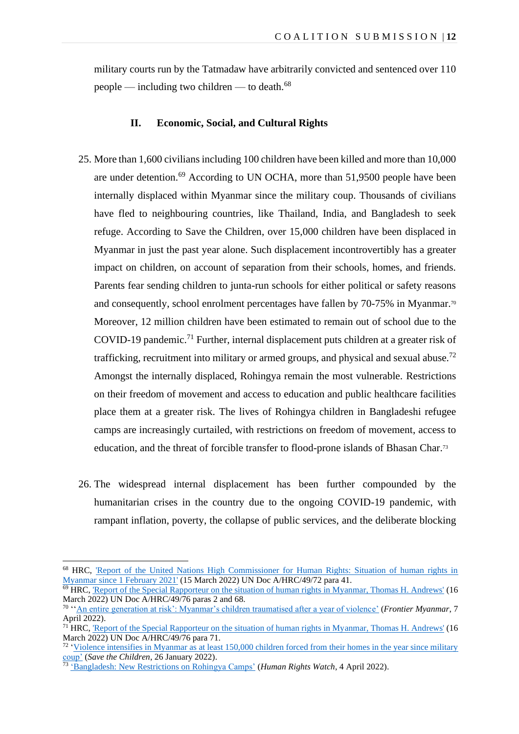military courts run by the Tatmadaw have arbitrarily convicted and sentenced over 110 people — including two children — to death.<sup>68</sup>

### **II. Economic, Social, and Cultural Rights**

- 25. More than 1,600 civiliansincluding 100 children have been killed and more than 10,000 are under detention.<sup>69</sup> According to UN OCHA, more than 51,9500 people have been internally displaced within Myanmar since the military coup. Thousands of civilians have fled to neighbouring countries, like Thailand, India, and Bangladesh to seek refuge. According to Save the Children, over 15,000 children have been displaced in Myanmar in just the past year alone. Such displacement incontrovertibly has a greater impact on children, on account of separation from their schools, homes, and friends. Parents fear sending children to junta-run schools for either political or safety reasons and consequently, school enrolment percentages have fallen by 70-75% in Myanmar.<sup>70</sup> Moreover, 12 million children have been estimated to remain out of school due to the COVID-19 pandemic. <sup>71</sup> Further, internal displacement puts children at a greater risk of trafficking, recruitment into military or armed groups, and physical and sexual abuse.<sup>72</sup> Amongst the internally displaced, Rohingya remain the most vulnerable. Restrictions on their freedom of movement and access to education and public healthcare facilities place them at a greater risk. The lives of Rohingya children in Bangladeshi refugee camps are increasingly curtailed, with restrictions on freedom of movement, access to education, and the threat of forcible transfer to flood-prone islands of Bhasan Char.<sup>73</sup>
- 26. The widespread internal displacement has been further compounded by the humanitarian crises in the country due to the ongoing COVID-19 pandemic, with rampant inflation, poverty, the collapse of public services, and the deliberate blocking

<sup>68</sup> HRC, ['Report of the United Nations High Commissioner for Human Rights: Situation of human rights in](https://www.ohchr.org/sites/default/files/2022-03/A_HRC_49_72_AdvanceEditedVersion.docx)  [Myanmar since 1 February 2021'](https://www.ohchr.org/sites/default/files/2022-03/A_HRC_49_72_AdvanceEditedVersion.docx) (15 March 2022) UN Doc A/HRC/49/72 para 41.

 $\overline{69}$  HRC, ['Report of the Special Rapporteur on the situation of human rights in Myanmar, Thomas H. Andrews'](https://www.ohchr.org/en/documents/country-reports/ahrc4976-report-special-rapporteur-situation-human-rights-myanmar-thomas) (16) March 2022) UN Doc A/HRC/49/76 paras 2 and 68.

<sup>70</sup> '['An entire generation at risk': Myanmar's children traumatised after a year of violence'](https://www.frontiermyanmar.net/en/an-entire-generation-at-risk-myanmars-children-traumatised-after-a-year-of-violence/) (*Frontier Myanmar*, 7 April 2022).

<sup>&</sup>lt;sup>71</sup> HRC, ['Report of the Special Rapporteur on the situation of human rights in Myanmar, Thomas H. Andrews'](https://www.ohchr.org/en/documents/country-reports/ahrc4976-report-special-rapporteur-situation-human-rights-myanmar-thomas) (16 March 2022) UN Doc A/HRC/49/76 para 71.

 $\frac{72}{12}$  'Violence intensifies in Myanmar as at least 150,000 children forced from their homes in the year since military [coup'](https://reliefweb.int/report/myanmar/violence-intensifies-myanmar-least-150000-children-forced-their-homes-year-military#:~:text=Over%20the%20past%20year%2C%20a,their%20schools%2C%20and%20their%20homes) (*Save the Children*, 26 January 2022).

<sup>73</sup> ['Bangladesh: New Restrictions on Rohingya Camps'](https://www.hrw.org/news/2022/04/04/bangladesh-new-restrictions-rohingya-camps) (*Human Rights Watch*, 4 April 2022).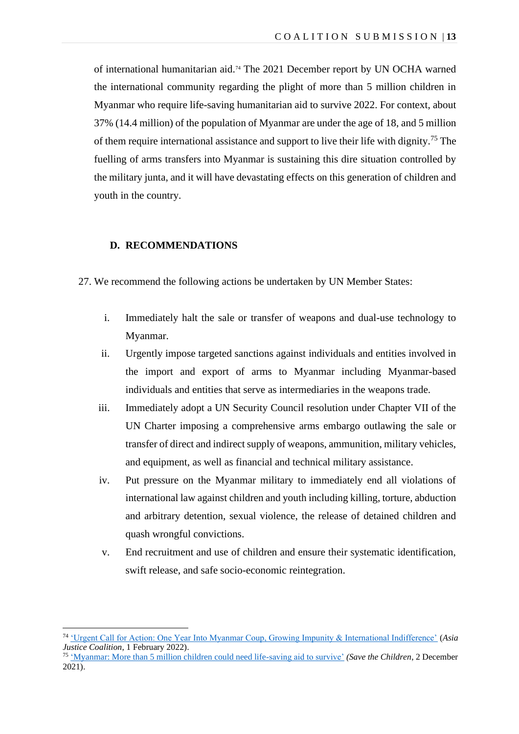of international humanitarian aid.<sup>74</sup> The 2021 December report by UN OCHA warned the international community regarding the plight of more than 5 million children in Myanmar who require life-saving humanitarian aid to survive 2022. For context, about 37% (14.4 million) of the population of Myanmar are under the age of 18, and 5 million of them require international assistance and support to live their life with dignity.<sup>75</sup> The fuelling of arms transfers into Myanmar is sustaining this dire situation controlled by the military junta, and it will have devastating effects on this generation of children and youth in the country.

#### **D. RECOMMENDATIONS**

- 27. We recommend the following actions be undertaken by UN Member States:
	- i. Immediately halt the sale or transfer of weapons and dual-use technology to Myanmar.
	- ii. Urgently impose targeted sanctions against individuals and entities involved in the import and export of arms to Myanmar including Myanmar-based individuals and entities that serve as intermediaries in the weapons trade.
	- iii. Immediately adopt a UN Security Council resolution under Chapter VII of the UN Charter imposing a comprehensive arms embargo outlawing the sale or transfer of direct and indirect supply of weapons, ammunition, military vehicles, and equipment, as well as financial and technical military assistance.
	- iv. Put pressure on the Myanmar military to immediately end all violations of international law against children and youth including killing, torture, abduction and arbitrary detention, sexual violence, the release of detained children and quash wrongful convictions.
	- v. End recruitment and use of children and ensure their systematic identification, swift release, and safe socio-economic reintegration.

<sup>74</sup> ['Urgent Call for Action: One Year Into Myanmar Coup, Growing Impunity & International Indifference'](https://www.asiajusticecoalition.org/_files/ugd/811bc6_b801d7d42d2845e3acdf55ff58e69294.pdf) (*Asia Justice Coalition*, 1 February 2022).

<sup>75</sup> ['Myanmar: More than 5 million children could need life-saving aid to survive'](https://reliefweb.int/report/myanmar/myanmar-more-5-million-children-could-need-life-saving-aid-survive) *(Save the Children*, 2 December 2021).